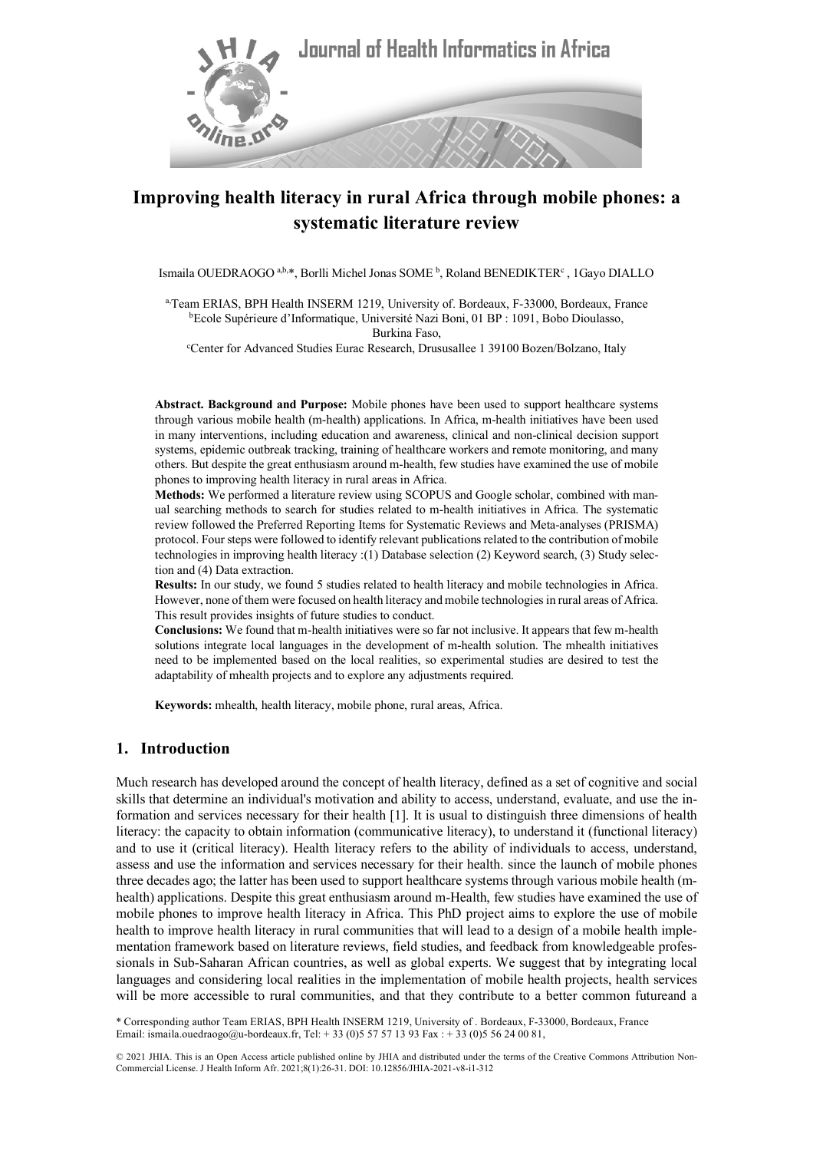

# **Improving health literacy in rural Africa through mobile phones: a systematic literature review**

Ismaila OUEDRAOGO<sup>a,b,\*</sup>, Borlli Michel Jonas SOME<sup>b</sup>, Roland BENEDIKTER<sup>c</sup>, 1Gayo DIALLO

a,Team ERIAS, BPH Health INSERM 1219, University of. Bordeaux, F-33000, Bordeaux, France b Ecole Supérieure d'Informatique, Université Nazi Boni, 01 BP : 1091, Bobo Dioulasso, Burkina Faso,

c Center for Advanced Studies Eurac Research, Drususallee 1 39100 Bozen/Bolzano, Italy

**Abstract. Background and Purpose:** Mobile phones have been used to support healthcare systems through various mobile health (m-health) applications. In Africa, m-health initiatives have been used in many interventions, including education and awareness, clinical and non-clinical decision support systems, epidemic outbreak tracking, training of healthcare workers and remote monitoring, and many others. But despite the great enthusiasm around m-health, few studies have examined the use of mobile phones to improving health literacy in rural areas in Africa.

**Methods:** We performed a literature review using SCOPUS and Google scholar, combined with manual searching methods to search for studies related to m-health initiatives in Africa. The systematic review followed the Preferred Reporting Items for Systematic Reviews and Meta-analyses (PRISMA) protocol. Four steps were followed to identify relevant publications related to the contribution of mobile technologies in improving health literacy :(1) Database selection (2) Keyword search, (3) Study selection and (4) Data extraction.

**Results:** In our study, we found 5 studies related to health literacy and mobile technologies in Africa. However, none of them were focused on health literacy and mobile technologies in rural areas of Africa. This result provides insights of future studies to conduct.

**Conclusions:** We found that m-health initiatives were so far not inclusive. It appears that few m-health solutions integrate local languages in the development of m-health solution. The mhealth initiatives need to be implemented based on the local realities, so experimental studies are desired to test the adaptability of mhealth projects and to explore any adjustments required.

**Keywords:** mhealth, health literacy, mobile phone, rural areas, Africa.

#### **1. Introduction**

Much research has developed around the concept of health literacy, defined as a set of cognitive and social skills that determine an individual's motivation and ability to access, understand, evaluate, and use the information and services necessary for their health [1]. It is usual to distinguish three dimensions of health literacy: the capacity to obtain information (communicative literacy), to understand it (functional literacy) and to use it (critical literacy). Health literacy refers to the ability of individuals to access, understand, assess and use the information and services necessary for their health. since the launch of mobile phones three decades ago; the latter has been used to support healthcare systems through various mobile health (mhealth) applications. Despite this great enthusiasm around m-Health, few studies have examined the use of mobile phones to improve health literacy in Africa. This PhD project aims to explore the use of mobile health to improve health literacy in rural communities that will lead to a design of a mobile health implementation framework based on literature reviews, field studies, and feedback from knowledgeable professionals in Sub-Saharan African countries, as well as global experts. We suggest that by integrating local languages and considering local realities in the implementation of mobile health projects, health services will be more accessible to rural communities, and that they contribute to a better common futureand a

\* Corresponding author Team ERIAS, BPH Health INSERM 1219, University of . Bordeaux, F-33000, Bordeaux, France Email: ismaila.ouedraogo@u-bordeaux.fr, Tel: +33 (0)5 57 57 13 93 Fax : +33 (0)5 56 24 00 81,

© 2021 JHIA. This is an Open Access article published online by JHIA and distributed under the terms of the Creative Commons Attribution Non-Commercial License. J Health Inform Afr. 2021;8(1):26-31. DOI: 10.12856/JHIA-2021-v8-i1-312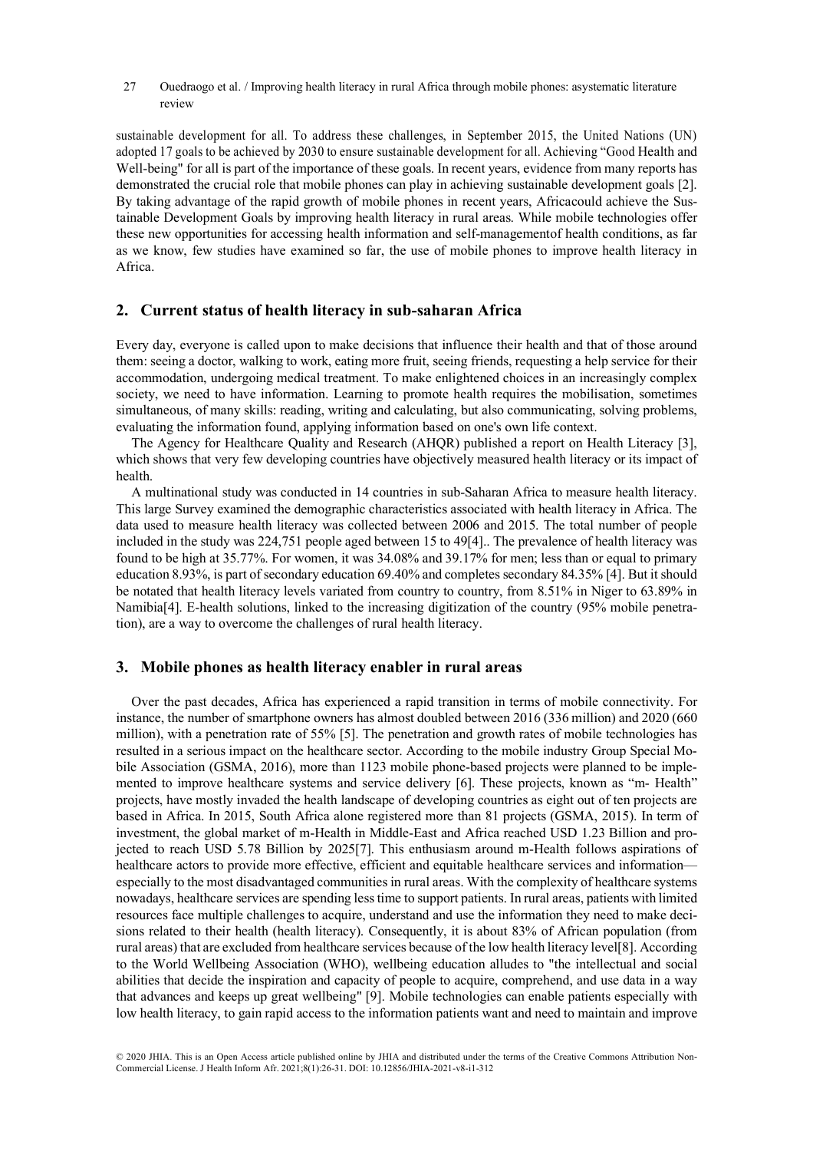27 Ouedraogo et al. / Improving health literacy in rural Africa through mobile phones: asystematic literature review

sustainable development for all. To address these challenges, in September 2015, the United Nations (UN) adopted 17 goals to be achieved by 2030 to ensure sustainable development for all. Achieving "Good Health and Well-being" for all is part of the importance of these goals. In recent years, evidence from many reports has demonstrated the crucial role that mobile phones can play in achieving sustainable development goals [2]. By taking advantage of the rapid growth of mobile phones in recent years, Africacould achieve the Sustainable Development Goals by improving health literacy in rural areas. While mobile technologies offer these new opportunities for accessing health information and self-managementof health conditions, as far as we know, few studies have examined so far, the use of mobile phones to improve health literacy in Africa.

## **2. Current status of health literacy in sub-saharan Africa**

Every day, everyone is called upon to make decisions that influence their health and that of those around them: seeing a doctor, walking to work, eating more fruit, seeing friends, requesting a help service for their accommodation, undergoing medical treatment. To make enlightened choices in an increasingly complex society, we need to have information. Learning to promote health requires the mobilisation, sometimes simultaneous, of many skills: reading, writing and calculating, but also communicating, solving problems, evaluating the information found, applying information based on one's own life context.

The Agency for Healthcare Quality and Research (AHQR) published a report on Health Literacy [3], which shows that very few developing countries have objectively measured health literacy or its impact of health.

A multinational study was conducted in 14 countries in sub-Saharan Africa to measure health literacy. This large Survey examined the demographic characteristics associated with health literacy in Africa. The data used to measure health literacy was collected between 2006 and 2015. The total number of people included in the study was 224,751 people aged between 15 to 49[4].. The prevalence of health literacy was found to be high at 35.77%. For women, it was 34.08% and 39.17% for men; less than or equal to primary education 8.93%, is part of secondary education 69.40% and completes secondary 84.35% [4]. But it should be notated that health literacy levels variated from country to country, from 8.51% in Niger to 63.89% in Namibia[4]. E-health solutions, linked to the increasing digitization of the country (95% mobile penetration), are a way to overcome the challenges of rural health literacy.

## **3. Mobile phones as health literacy enabler in rural areas**

Over the past decades, Africa has experienced a rapid transition in terms of mobile connectivity. For instance, the number of smartphone owners has almost doubled between 2016 (336 million) and 2020 (660 million), with a penetration rate of 55% [5]. The penetration and growth rates of mobile technologies has resulted in a serious impact on the healthcare sector. According to the mobile industry Group Special Mobile Association (GSMA, 2016), more than 1123 mobile phone-based projects were planned to be implemented to improve healthcare systems and service delivery [6]. These projects, known as "m- Health" projects, have mostly invaded the health landscape of developing countries as eight out of ten projects are based in Africa. In 2015, South Africa alone registered more than 81 projects (GSMA, 2015). In term of investment, the global market of m-Health in Middle-East and Africa reached USD 1.23 Billion and projected to reach USD 5.78 Billion by 2025[7]. This enthusiasm around m-Health follows aspirations of healthcare actors to provide more effective, efficient and equitable healthcare services and information especially to the most disadvantaged communities in rural areas. With the complexity of healthcare systems nowadays, healthcare services are spending less time to support patients. In rural areas, patients with limited resources face multiple challenges to acquire, understand and use the information they need to make decisions related to their health (health literacy). Consequently, it is about 83% of African population (from rural areas) that are excluded from healthcare services because of the low health literacy level[8]. According to the World Wellbeing Association (WHO), wellbeing education alludes to "the intellectual and social abilities that decide the inspiration and capacity of people to acquire, comprehend, and use data in a way that advances and keeps up great wellbeing" [9]. Mobile technologies can enable patients especially with low health literacy, to gain rapid access to the information patients want and need to maintain and improve

© 2020 JHIA. This is an Open Access article published online by JHIA and distributed under the terms of the Creative Commons Attribution Non-Commercial License. J Health Inform Afr. 2021;8(1):26-31. DOI: 10.12856/JHIA-2021-v8-i1-312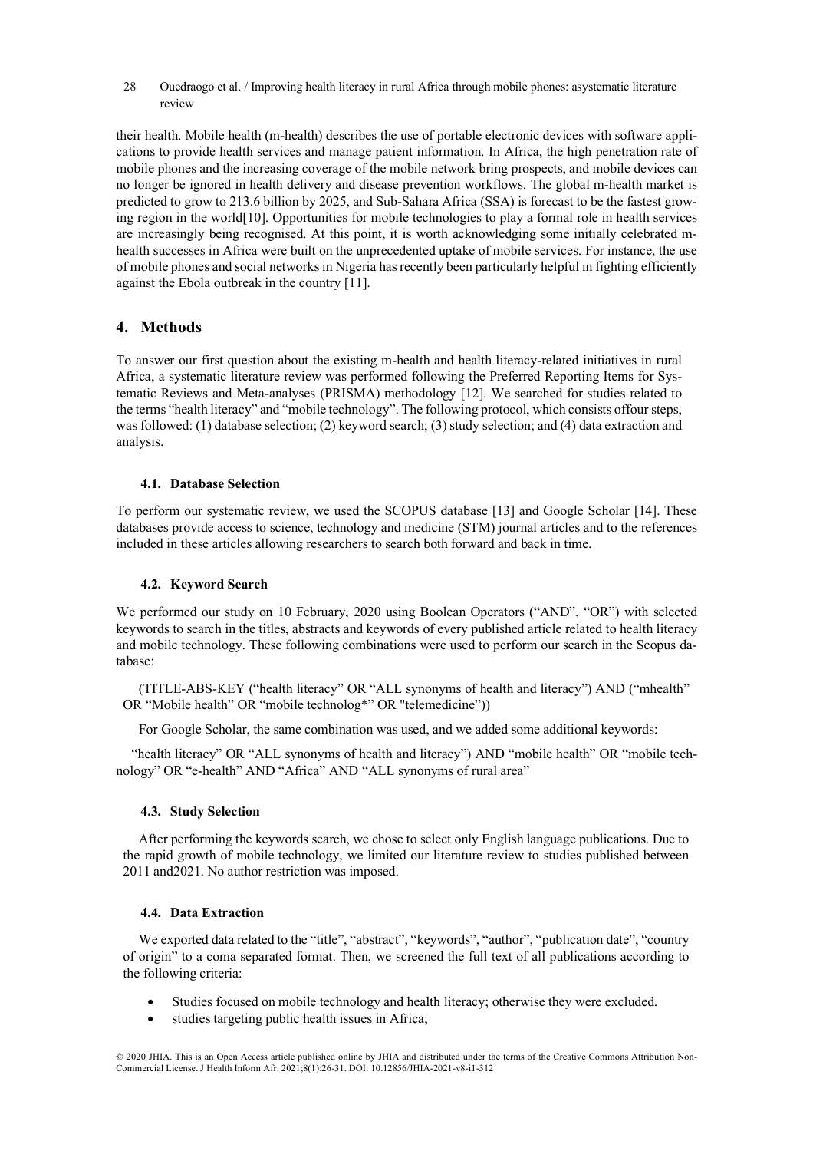28 Ouedraogo et al. / Improving health literacy in rural Africa through mobile phones: asystematic literature review

their health. Mobile health (m-health) describes the use of portable electronic devices with software applications to provide health services and manage patient information. In Africa, the high penetration rate of mobile phones and the increasing coverage of the mobile network bring prospects, and mobile devices can no longer be ignored in health delivery and disease prevention workflows. The global m-health market is predicted to grow to 213.6 billion by 2025, and Sub-Sahara Africa (SSA) is forecast to be the fastest growing region in the world[10]. Opportunities for mobile technologies to play a formal role in health services are increasingly being recognised. At this point, it is worth acknowledging some initially celebrated mhealth successes in Africa were built on the unprecedented uptake of mobile services. For instance, the use of mobile phones and social networks in Nigeria has recently been particularly helpful in fighting efficiently against the Ebola outbreak in the country [11].

## **4. Methods**

To answer our first question about the existing m-health and health literacy-related initiatives in rural Africa, a systematic literature review was performed following the Preferred Reporting Items for Systematic Reviews and Meta-analyses (PRISMA) methodology [12]. We searched for studies related to the terms "health literacy" and "mobile technology". The following protocol, which consists offour steps, was followed: (1) database selection; (2) keyword search; (3) study selection; and (4) data extraction and analysis.

#### **4.1. Database Selection**

To perform our systematic review, we used the SCOPUS database [13] and Google Scholar [14]. These databases provide access to science, technology and medicine (STM) journal articles and to the references included in these articles allowing researchers to search both forward and back in time.

#### **4.2. Keyword Search**

We performed our study on 10 February, 2020 using Boolean Operators ("AND", "OR") with selected keywords to search in the titles, abstracts and keywords of every published article related to health literacy and mobile technology. These following combinations were used to perform our search in the Scopus database:

(TITLE-ABS-KEY ("health literacy" OR "ALL synonyms of health and literacy") AND ("mhealth" OR "Mobile health" OR "mobile technolog\*" OR "telemedicine"))

For Google Scholar, the same combination was used, and we added some additional keywords:

"health literacy" OR "ALL synonyms of health and literacy") AND "mobile health" OR "mobile technology" OR "e-health" AND "Africa" AND "ALL synonyms of rural area"

#### **4.3. Study Selection**

After performing the keywords search, we chose to select only English language publications. Due to the rapid growth of mobile technology, we limited our literature review to studies published between 2011 and2021. No author restriction was imposed.

#### **4.4. Data Extraction**

We exported data related to the "title", "abstract", "keywords", "author", "publication date", "country of origin" to a coma separated format. Then, we screened the full text of all publications according to the following criteria:

- Studies focused on mobile technology and health literacy; otherwise they were excluded.
- studies targeting public health issues in Africa;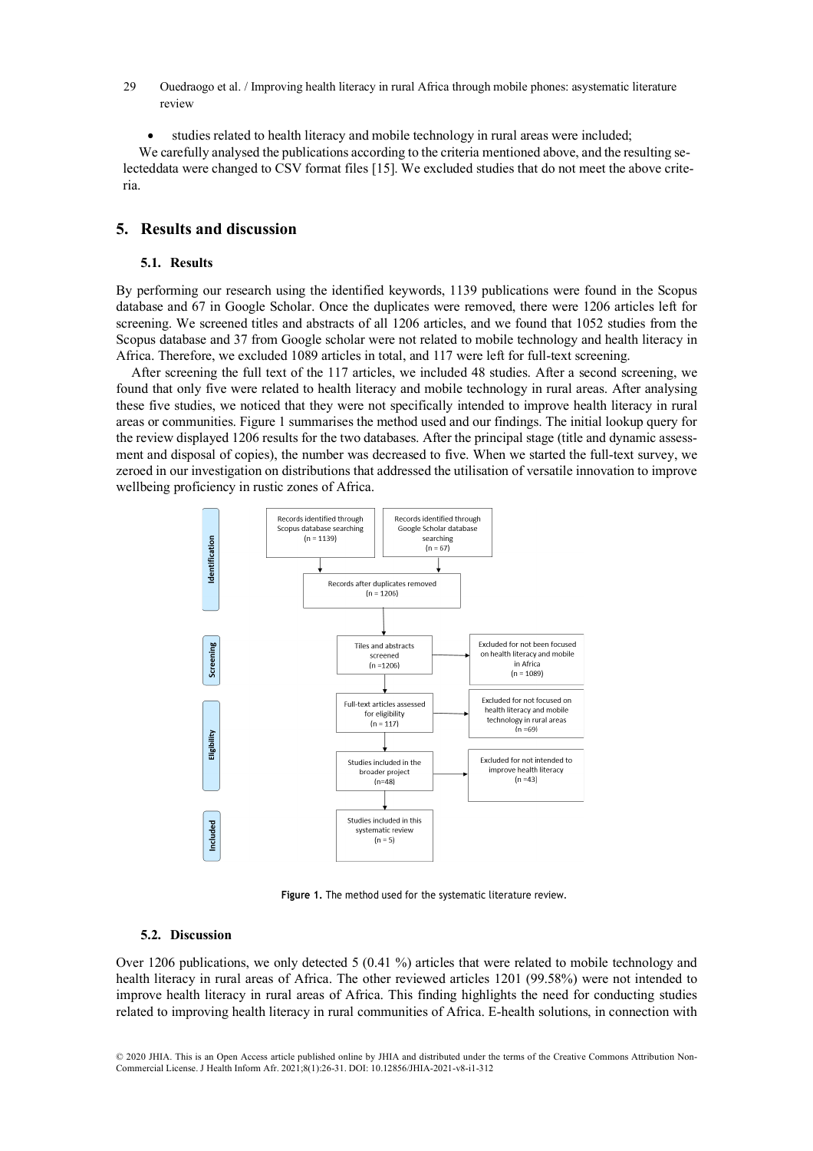- 29 Ouedraogo et al. / Improving health literacy in rural Africa through mobile phones: asystematic literature review
	- studies related to health literacy and mobile technology in rural areas were included;

We carefully analysed the publications according to the criteria mentioned above, and the resulting selecteddata were changed to CSV format files [15]. We excluded studies that do not meet the above criteria.

## **5. Results and discussion**

### **5.1. Results**

By performing our research using the identified keywords, 1139 publications were found in the Scopus database and 67 in Google Scholar. Once the duplicates were removed, there were 1206 articles left for screening. We screened titles and abstracts of all 1206 articles, and we found that 1052 studies from the Scopus database and 37 from Google scholar were not related to mobile technology and health literacy in Africa. Therefore, we excluded 1089 articles in total, and 117 were left for full-text screening.

After screening the full text of the 117 articles, we included 48 studies. After a second screening, we found that only five were related to health literacy and mobile technology in rural areas. After analysing these five studies, we noticed that they were not specifically intended to improve health literacy in rural areas or communities. Figure 1 summarises the method used and our findings. The initial lookup query for the review displayed 1206 results for the two databases. After the principal stage (title and dynamic assessment and disposal of copies), the number was decreased to five. When we started the full-text survey, we zeroed in our investigation on distributions that addressed the utilisation of versatile innovation to improve wellbeing proficiency in rustic zones of Africa.



**Figure 1.** The method used for the systematic literature review.

#### **5.2. Discussion**

Over 1206 publications, we only detected 5 (0.41 %) articles that were related to mobile technology and health literacy in rural areas of Africa. The other reviewed articles 1201 (99.58%) were not intended to improve health literacy in rural areas of Africa. This finding highlights the need for conducting studies related to improving health literacy in rural communities of Africa. E-health solutions, in connection with

© 2020 JHIA. This is an Open Access article published online by JHIA and distributed under the terms of the Creative Commons Attribution Non-Commercial License. J Health Inform Afr. 2021;8(1):26-31. DOI: 10.12856/JHIA-2021-v8-i1-312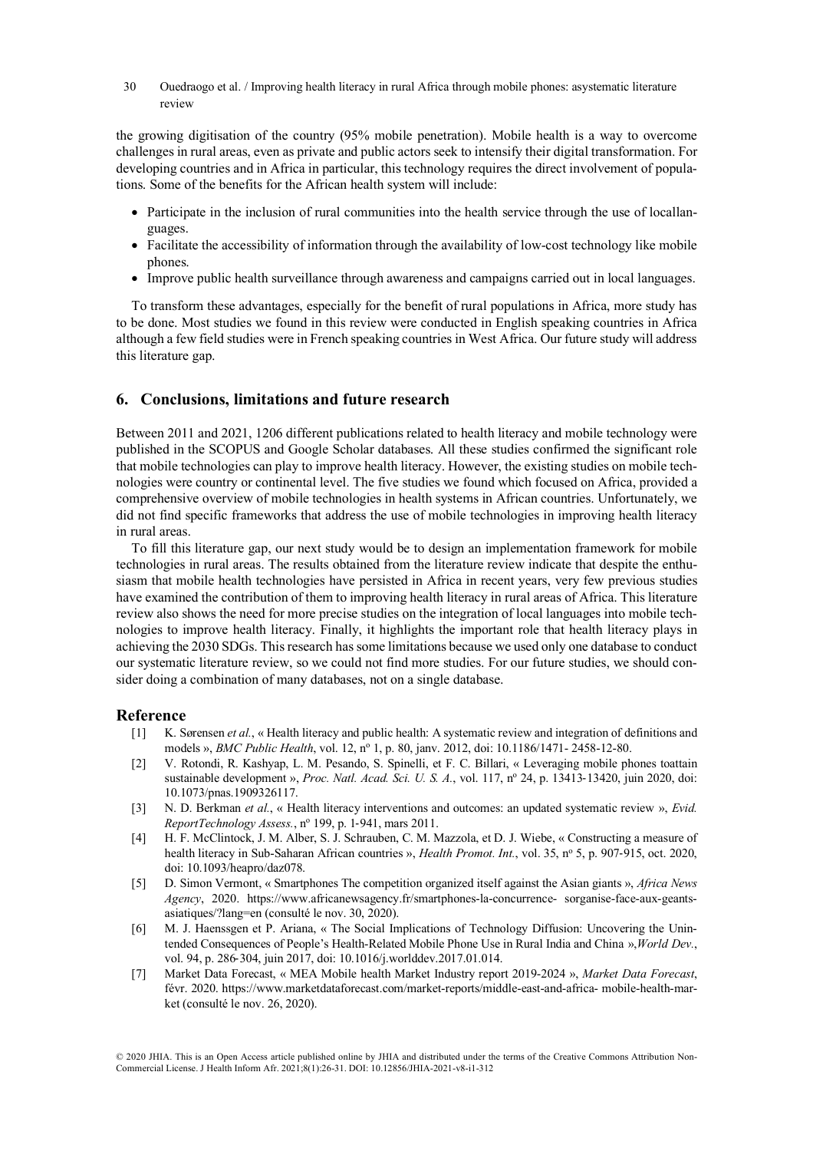30 Ouedraogo et al. / Improving health literacy in rural Africa through mobile phones: asystematic literature review

the growing digitisation of the country (95% mobile penetration). Mobile health is a way to overcome challenges in rural areas, even as private and public actors seek to intensify their digital transformation. For developing countries and in Africa in particular, this technology requires the direct involvement of populations. Some of the benefits for the African health system will include:

- Participate in the inclusion of rural communities into the health service through the use of locallanguages.
- Facilitate the accessibility of information through the availability of low-cost technology like mobile phones.
- Improve public health surveillance through awareness and campaigns carried out in local languages.

To transform these advantages, especially for the benefit of rural populations in Africa, more study has to be done. Most studies we found in this review were conducted in English speaking countries in Africa although a few field studies were in French speaking countries in West Africa. Our future study will address this literature gap.

### **6. Conclusions, limitations and future research**

Between 2011 and 2021, 1206 different publications related to health literacy and mobile technology were published in the SCOPUS and Google Scholar databases. All these studies confirmed the significant role that mobile technologies can play to improve health literacy. However, the existing studies on mobile technologies were country or continental level. The five studies we found which focused on Africa, provided a comprehensive overview of mobile technologies in health systems in African countries. Unfortunately, we did not find specific frameworks that address the use of mobile technologies in improving health literacy in rural areas.

To fill this literature gap, our next study would be to design an implementation framework for mobile technologies in rural areas. The results obtained from the literature review indicate that despite the enthusiasm that mobile health technologies have persisted in Africa in recent years, very few previous studies have examined the contribution of them to improving health literacy in rural areas of Africa. This literature review also shows the need for more precise studies on the integration of local languages into mobile technologies to improve health literacy. Finally, it highlights the important role that health literacy plays in achieving the 2030 SDGs. This research has some limitations because we used only one database to conduct our systematic literature review, so we could not find more studies. For our future studies, we should consider doing a combination of many databases, not on a single database.

#### **Reference**

- [1] K. Sørensen *et al.*, « Health literacy and public health: A systematic review and integration of definitions and models », *BMC Public Health*, vol. 12, nº 1, p. 80, janv. 2012, doi: 10.1186/1471-2458-12-80.
- [2] V. Rotondi, R. Kashyap, L. M. Pesando, S. Spinelli, et F. C. Billari, « Leveraging mobile phones toattain sustainable development », *Proc. Natl. Acad. Sci. U. S. A.*, vol. 117, no 24, p. 13413-13420, juin 2020, doi: 10.1073/pnas.1909326117.
- [3] N. D. Berkman *et al.*, « Health literacy interventions and outcomes: an updated systematic review », *Evid. ReportTechnology Assess.*, no 199, p. 1-941, mars 2011.
- [4] H. F. McClintock, J. M. Alber, S. J. Schrauben, C. M. Mazzola, et D. J. Wiebe, « Constructing a measure of health literacy in Sub-Saharan African countries », *Health Promot. Int.*, vol. 35, n° 5, p. 907-915, oct. 2020, doi: 10.1093/heapro/daz078.
- [5] D. Simon Vermont, « Smartphones The competition organized itself against the Asian giants », *Africa News Agency*, 2020. https://www.africanewsagency.fr/smartphones-la-concurrence- sorganise-face-aux-geantsasiatiques/?lang=en (consulté le nov. 30, 2020).
- [6] M. J. Haenssgen et P. Ariana, « The Social Implications of Technology Diffusion: Uncovering the Unintended Consequences of People's Health-Related Mobile Phone Use in Rural India and China »,*World Dev.*, vol. 94, p. 286-304, juin 2017, doi: 10.1016/j.worlddev.2017.01.014.
- [7] Market Data Forecast, « MEA Mobile health Market Industry report 2019-2024 », *Market Data Forecast*, févr. 2020. https://www.marketdataforecast.com/market-reports/middle-east-and-africa- mobile-health-market (consulté le nov. 26, 2020).

© 2020 JHIA. This is an Open Access article published online by JHIA and distributed under the terms of the Creative Commons Attribution Non-Commercial License. J Health Inform Afr. 2021;8(1):26-31. DOI: 10.12856/JHIA-2021-v8-i1-312